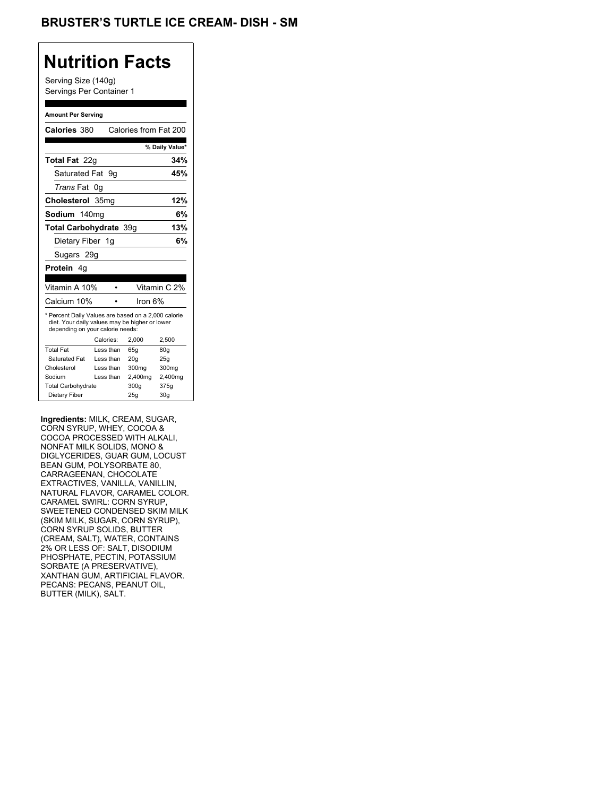## **Nutrition Facts**

Serving Size (140g) Servings Per Container 1

#### **Amount Per Serving**

| Calories 380                                                                                                                              |                  | Calories from Fat 200 |                |
|-------------------------------------------------------------------------------------------------------------------------------------------|------------------|-----------------------|----------------|
|                                                                                                                                           |                  |                       | % Daily Value* |
| <b>Total Fat</b> 22q                                                                                                                      |                  |                       | 34%            |
| Saturated Fat                                                                                                                             | . 9a             |                       | 45%            |
| <i>Trans</i> Fat                                                                                                                          | 0g               |                       |                |
| Cholesterol                                                                                                                               | 35 <sub>ma</sub> |                       | 12%            |
| Sodium 140mg                                                                                                                              |                  |                       | 6%             |
| Total Carbohydrate 39q                                                                                                                    |                  |                       | 13%            |
| Dietary Fiber 1g                                                                                                                          |                  |                       | 6%             |
| Sugars 29g                                                                                                                                |                  |                       |                |
| <b>Protein</b> 4q                                                                                                                         |                  |                       |                |
|                                                                                                                                           |                  |                       |                |
| Vitamin A 10%                                                                                                                             |                  |                       | Vitamin C 2%   |
| Calcium 10%                                                                                                                               |                  | lron 6%               |                |
| * Percent Daily Values are based on a 2,000 calorie<br>diet. Your daily values may be higher or lower<br>depending on your calorie needs: |                  |                       |                |
|                                                                                                                                           | Calories:        | 2.000                 | 2,500          |
| <b>Total Fat</b>                                                                                                                          | Less than        | 65q                   | 80q            |
| Saturated Fat                                                                                                                             | Less than        | 20q                   | 25g            |
| Cholesterol                                                                                                                               | Less than        | 300mg                 | 300mg          |
|                                                                                                                                           |                  |                       |                |
| Sodium                                                                                                                                    | Less than        | 2,400mg               | 2,400mg        |
| <b>Total Carbohydrate</b>                                                                                                                 |                  | 300g                  | 375g           |

**Ingredients:** MILK, CREAM, SUGAR, CORN SYRUP, WHEY, COCOA & COCOA PROCESSED WITH ALKALI, NONFAT MILK SOLIDS, MONO & DIGLYCERIDES, GUAR GUM, LOCUST BEAN GUM, POLYSORBATE 80, CARRAGEENAN, CHOCOLATE EXTRACTIVES, VANILLA, VANILLIN, NATURAL FLAVOR, CARAMEL COLOR. CARAMEL SWIRL: CORN SYRUP, SWEETENED CONDENSED SKIM MILK (SKIM MILK, SUGAR, CORN SYRUP), CORN SYRUP SOLIDS, BUTTER (CREAM, SALT), WATER, CONTAINS 2% OR LESS OF: SALT, DISODIUM PHOSPHATE, PECTIN, POTASSIUM SORBATE (A PRESERVATIVE), XANTHAN GUM, ARTIFICIAL FLAVOR. PECANS: PECANS, PEANUT OIL, BUTTER (MILK), SALT.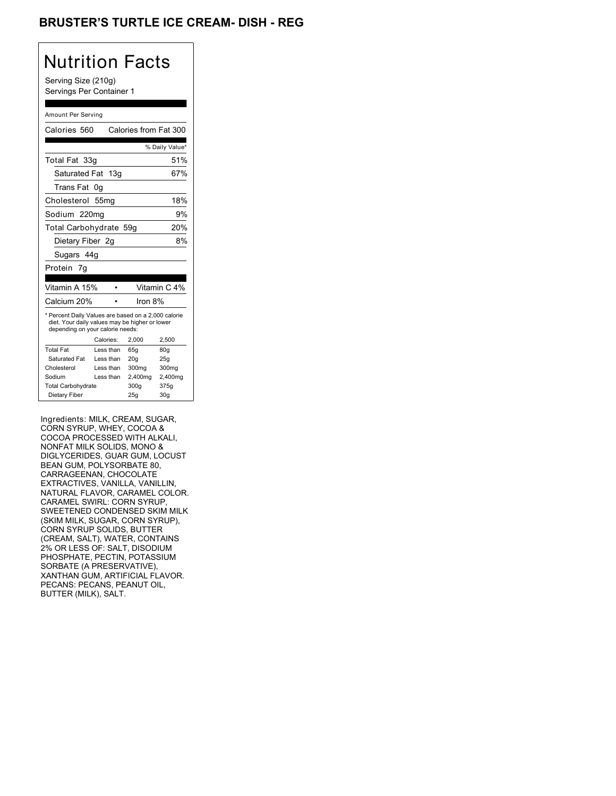## **BRUSTER'S TURTLE ICE CREAM- DISH - REG**

## Nutrition Facts

Serving Size (210g) Servings Per Container 1

#### Amount Per Serving

| Calories 560                                                                                                                              |                  | Calories from Fat 300 |                |
|-------------------------------------------------------------------------------------------------------------------------------------------|------------------|-----------------------|----------------|
|                                                                                                                                           |                  |                       | % Daily Value* |
| Total Fat 33g                                                                                                                             |                  |                       | 51%            |
| Saturated Fat 13g                                                                                                                         |                  |                       | 67%            |
| Trans Fat                                                                                                                                 | 0g               |                       |                |
| Cholesterol                                                                                                                               | 55 <sub>mq</sub> |                       | 18%            |
| Sodium 220mg                                                                                                                              |                  |                       | 9%             |
| Total Carbohydrate 59q                                                                                                                    |                  |                       | 20%            |
| Dietary Fiber 2g                                                                                                                          |                  |                       | 8%             |
| Sugars 44g                                                                                                                                |                  |                       |                |
| Protein 7g                                                                                                                                |                  |                       |                |
|                                                                                                                                           |                  |                       |                |
| Vitamin A 15%                                                                                                                             |                  |                       | Vitamin C 4%   |
| Calcium 20%                                                                                                                               |                  |                       |                |
|                                                                                                                                           |                  | Iron 8%               |                |
| * Percent Daily Values are based on a 2,000 calorie<br>diet. Your daily values may be higher or lower<br>depending on your calorie needs: |                  |                       |                |
|                                                                                                                                           | Calories:        | 2.000                 | 2,500          |
| <b>Total Fat</b>                                                                                                                          | Less than        | 65q                   | 80q            |
| Saturated Fat                                                                                                                             | Less than        | 20q                   | 25q            |
| Cholesterol                                                                                                                               | Less than        | 300mg                 | 300mg          |
| Sodium                                                                                                                                    | Less than        | 2,400mg               | 2,400mg        |
| <b>Total Carbohydrate</b>                                                                                                                 |                  | 300g                  | 375g           |

Ingredients: MILK, CREAM, SUGAR, CORN SYRUP, WHEY, COCOA & COCOA PROCESSED WITH ALKALI, NONFAT MILK SOLIDS, MONO & DIGLYCERIDES, GUAR GUM, LOCUST BEAN GUM, POLYSORBATE 80, CARRAGEENAN, CHOCOLATE EXTRACTIVES, VANILLA, VANILLIN, NATURAL FLAVOR, CARAMEL COLOR. CARAMEL SWIRL: CORN SYRUP, SWEETENED CONDENSED SKIM MILK (SKIM MILK, SUGAR, CORN SYRUP), CORN SYRUP SOLIDS, BUTTER (CREAM, SALT), WATER, CONTAINS 2% OR LESS OF: SALT, DISODIUM PHOSPHATE, PECTIN, POTASSIUM SORBATE (A PRESERVATIVE), XANTHAN GUM, ARTIFICIAL FLAVOR. PECANS: PECANS, PEANUT OIL, BUTTER (MILK), SALT.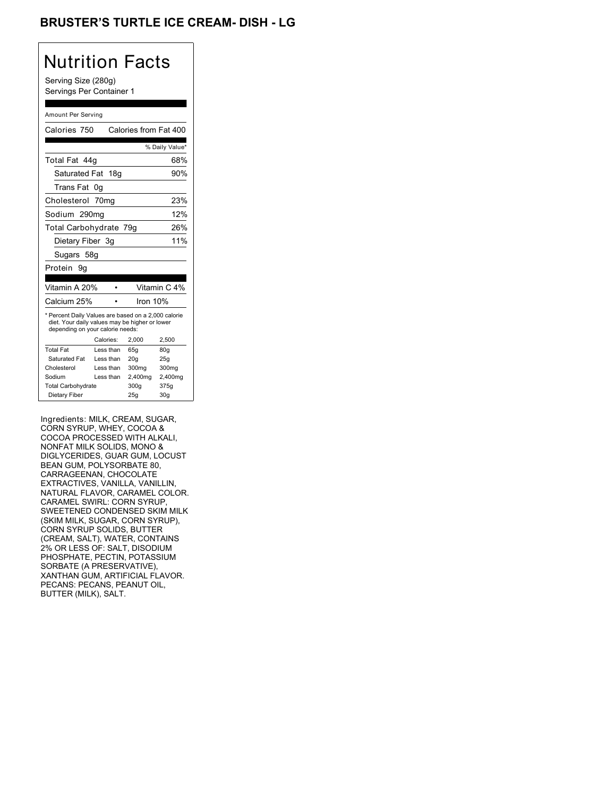## BRUSTER'S TURTLE ICE CREAM- DISH - LG

## Nutrition Facts

Serving Size (280g) Servings Per Container 1

#### Amount Per Serving

|                                  |                                                                                                       | Calories from Fat 400  |
|----------------------------------|-------------------------------------------------------------------------------------------------------|------------------------|
|                                  |                                                                                                       | % Daily Value*         |
|                                  |                                                                                                       | 68%                    |
|                                  |                                                                                                       | 90%                    |
|                                  |                                                                                                       |                        |
|                                  |                                                                                                       | 23%                    |
|                                  |                                                                                                       | 12%                    |
|                                  |                                                                                                       | 26%                    |
|                                  |                                                                                                       | 11%                    |
|                                  |                                                                                                       |                        |
|                                  |                                                                                                       |                        |
|                                  |                                                                                                       |                        |
|                                  |                                                                                                       | Vitamin C 4%           |
|                                  |                                                                                                       |                        |
|                                  | Iron $10%$                                                                                            |                        |
| depending on your calorie needs: | * Percent Daily Values are based on a 2,000 calorie<br>diet. Your daily values may be higher or lower |                        |
| Calories:                        | 2.000                                                                                                 | 2,500                  |
| Less than                        | 65q                                                                                                   | 80q                    |
| Less than                        | 20q                                                                                                   | 25q                    |
| I ess than                       | 300mg                                                                                                 | 300mg                  |
| Less than                        | 2,400mg                                                                                               | 2,400mg                |
|                                  | 300g                                                                                                  | 375g                   |
|                                  | Saturated Fat 18g<br>Cholesterol 70mg<br>Sodium 290mg<br>Dietary Fiber 3q                             | Total Carbohydrate 79g |

Ingredients: MILK, CREAM, SUGAR, CORN SYRUP, WHEY, COCOA & COCOA PROCESSED WITH ALKALI, NONFAT MILK SOLIDS, MONO & DIGLYCERIDES, GUAR GUM, LOCUST BEAN GUM, POLYSORBATE 80, CARRAGEENAN, CHOCOLATE EXTRACTIVES, VANILLA, VANILLIN, NATURAL FLAVOR, CARAMEL COLOR. CARAMEL SWIRL: CORN SYRUP, SWEETENED CONDENSED SKIM MILK (SKIM MILK, SUGAR, CORN SYRUP), CORN SYRUP SOLIDS, BUTTER (CREAM, SALT), WATER, CONTAINS 2% OR LESS OF: SALT, DISODIUM PHOSPHATE, PECTIN, POTASSIUM SORBATE (A PRESERVATIVE), XANTHAN GUM, ARTIFICIAL FLAVOR. PECANS: PECANS, PEANUT OIL, BUTTER (MILK), SALT.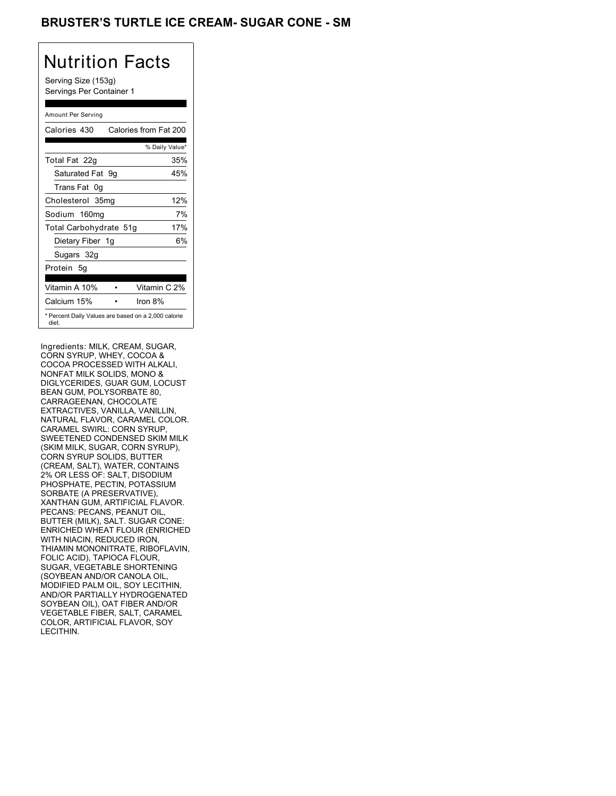## BRUSTER'S TURTLE ICE CREAM- SUGAR CONE - SM

# Nutrition Facts

Serving Size (153g) Servings Per Container 1

#### Amount Per Serving

| Calories 430           | Calories from Fat 200                               |
|------------------------|-----------------------------------------------------|
|                        | % Daily Value*                                      |
| Total Fat 22g          | 35%                                                 |
| Saturated Fat 9g       | 45%                                                 |
| Trans Fat 0q           |                                                     |
| Cholesterol 35mg       | 12%                                                 |
| Sodium 160mg           | 7%                                                  |
| Total Carbohydrate 51g | 17%                                                 |
| Dietary Fiber 1g       | 6%                                                  |
| Sugars 32g             |                                                     |
| Protein 5g             |                                                     |
| Vitamin A 10%          | Vitamin C 2%                                        |
| Calcium 15%            | Iron $8\%$                                          |
| diet.                  | * Percent Daily Values are based on a 2,000 calorie |

Ingredients: MILK, CREAM, SUGAR, CORN SYRUP, WHEY, COCOA & COCOA PROCESSED WITH ALKALI, NONFAT MILK SOLIDS, MONO & DIGLYCERIDES, GUAR GUM, LOCUST BEAN GUM, POLYSORBATE 80, CARRAGEENAN, CHOCOLATE EXTRACTIVES, VANILLA, VANILLIN, NATURAL FLAVOR, CARAMEL COLOR. CARAMEL SWIRL: CORN SYRUP, SWEETENED CONDENSED SKIM MILK (SKIM MILK, SUGAR, CORN SYRUP), CORN SYRUP SOLIDS, BUTTER (CREAM, SALT), WATER, CONTAINS 2% OR LESS OF: SALT, DISODIUM PHOSPHATE, PECTIN, POTASSIUM SORBATE (A PRESERVATIVE), XANTHAN GUM, ARTIFICIAL FLAVOR. PECANS: PECANS, PEANUT OIL, BUTTER (MILK), SALT. SUGAR CONE: ENRICHED WHEAT FLOUR (ENRICHED WITH NIACIN, REDUCED IRON, THIAMIN MONONITRATE, RIBOFLAVIN, FOLIC ACID), TAPIOCA FLOUR, SUGAR, VEGETABLE SHORTENING (SOYBEAN AND/OR CANOLA OIL, MODIFIED PALM OIL, SOY LECITHIN, AND/OR PARTIALLY HYDROGENATED SOYBEAN OIL), OAT FIBER AND/OR VEGETABLE FIBER, SALT, CARAMEL COLOR, ARTIFICIAL FLAVOR, SOY LECITHIN.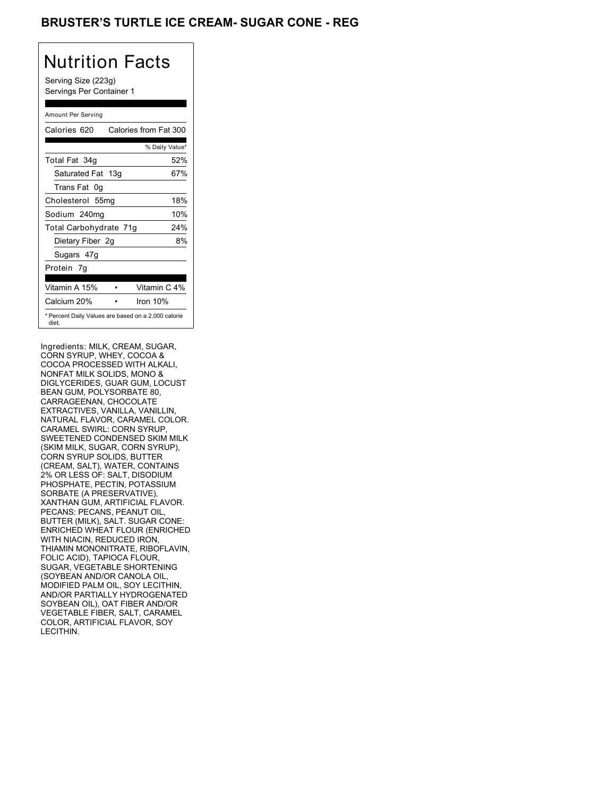### **BRUSTER'S TURTLE ICE CREAM- SUGAR CONE - REG**

# Nutrition Facts

Serving Size (223g) Servings Per Container 1

#### Amount Per Serving

| Calories 620           | Calories from Fat 300                               |
|------------------------|-----------------------------------------------------|
|                        | % Daily Value*                                      |
| Total Fat 34g          | 52%                                                 |
| Saturated Fat 13g      | 67%                                                 |
| Trans Fat 0q           |                                                     |
| Cholesterol 55mg       | 18%                                                 |
| Sodium 240mg           | 10%                                                 |
| Total Carbohydrate 71g | 24%                                                 |
| Dietary Fiber 2g       | 8%                                                  |
| Sugars 47g             |                                                     |
| Protein 7q             |                                                     |
|                        |                                                     |
| Vitamin A 15%          | Vitamin C 4%                                        |
| Calcium 20%            | Iron $10%$                                          |
| diet.                  | * Percent Daily Values are based on a 2,000 calorie |

Ingredients: MILK, CREAM, SUGAR, CORN SYRUP, WHEY, COCOA & COCOA PROCESSED WITH ALKALI, NONFAT MILK SOLIDS, MONO & DIGLYCERIDES, GUAR GUM, LOCUST BEAN GUM, POLYSORBATE 80, CARRAGEENAN, CHOCOLATE EXTRACTIVES, VANILLA, VANILLIN, NATURAL FLAVOR, CARAMEL COLOR. CARAMEL SWIRL: CORN SYRUP, SWEETENED CONDENSED SKIM MILK (SKIM MILK, SUGAR, CORN SYRUP), CORN SYRUP SOLIDS, BUTTER (CREAM, SALT), WATER, CONTAINS 2% OR LESS OF: SALT, DISODIUM PHOSPHATE, PECTIN, POTASSIUM SORBATE (A PRESERVATIVE), XANTHAN GUM, ARTIFICIAL FLAVOR. PECANS: PECANS, PEANUT OIL, BUTTER (MILK), SALT. SUGAR CONE: ENRICHED WHEAT FLOUR (ENRICHED WITH NIACIN, REDUCED IRON, THIAMIN MONONITRATE, RIBOFLAVIN, FOLIC ACID), TAPIOCA FLOUR, SUGAR, VEGETABLE SHORTENING (SOYBEAN AND/OR CANOLA OIL, MODIFIED PALM OIL, SOY LECITHIN, AND/OR PARTIALLY HYDROGENATED SOYBEAN OIL), OAT FIBER AND/OR VEGETABLE FIBER, SALT, CARAMEL COLOR, ARTIFICIAL FLAVOR, SOY LECITHIN.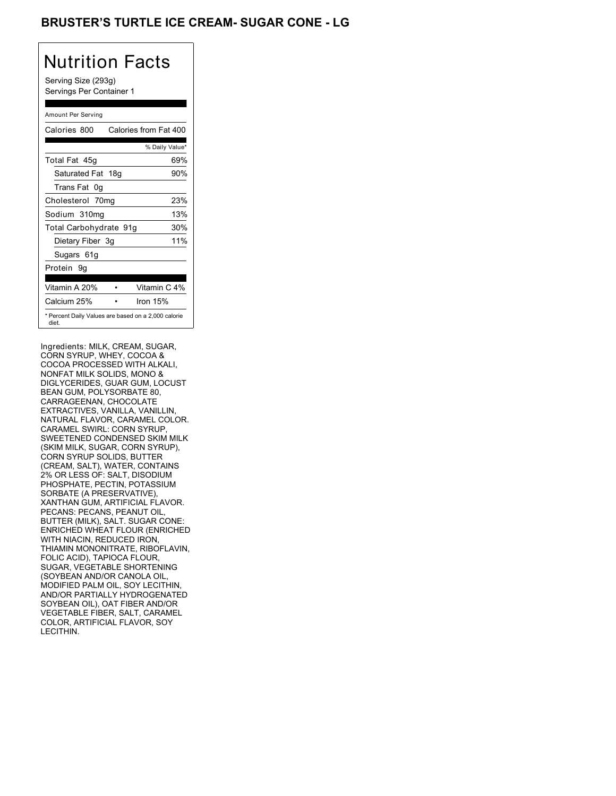## BRUSTER'S TURTLE ICE CREAM- SUGAR CONE - LG

# Nutrition Facts

Serving Size (293g) Servings Per Container 1

#### Amount Per Serving

| Calories 800           | Calories from Fat 400                               |
|------------------------|-----------------------------------------------------|
|                        | % Daily Value*                                      |
| Total Fat 45g          | 69%                                                 |
| Saturated Fat 18g      | 90%                                                 |
| Trans Fat 0q           |                                                     |
| Cholesterol 70mg       | 23%                                                 |
| Sodium 310mg           | 13%                                                 |
| Total Carbohydrate 91g | 30%                                                 |
| Dietary Fiber 3g       | 11%                                                 |
| Sugars 61g             |                                                     |
| Protein 9q             |                                                     |
|                        |                                                     |
| Vitamin A 20%          | Vitamin C 4%                                        |
| Calcium 25%            | Iron $15%$                                          |
| diet.                  | * Percent Daily Values are based on a 2,000 calorie |

Ingredients: MILK, CREAM, SUGAR, CORN SYRUP, WHEY, COCOA & COCOA PROCESSED WITH ALKALI, NONFAT MILK SOLIDS, MONO & DIGLYCERIDES, GUAR GUM, LOCUST BEAN GUM, POLYSORBATE 80, CARRAGEENAN, CHOCOLATE EXTRACTIVES, VANILLA, VANILLIN, NATURAL FLAVOR, CARAMEL COLOR. CARAMEL SWIRL: CORN SYRUP, SWEETENED CONDENSED SKIM MILK (SKIM MILK, SUGAR, CORN SYRUP), CORN SYRUP SOLIDS, BUTTER (CREAM, SALT), WATER, CONTAINS 2% OR LESS OF: SALT, DISODIUM PHOSPHATE, PECTIN, POTASSIUM SORBATE (A PRESERVATIVE), XANTHAN GUM, ARTIFICIAL FLAVOR. PECANS: PECANS, PEANUT OIL, BUTTER (MILK), SALT. SUGAR CONE: ENRICHED WHEAT FLOUR (ENRICHED WITH NIACIN, REDUCED IRON, THIAMIN MONONITRATE, RIBOFLAVIN, FOLIC ACID), TAPIOCA FLOUR, SUGAR, VEGETABLE SHORTENING (SOYBEAN AND/OR CANOLA OIL, MODIFIED PALM OIL, SOY LECITHIN, AND/OR PARTIALLY HYDROGENATED SOYBEAN OIL), OAT FIBER AND/OR VEGETABLE FIBER, SALT, CARAMEL COLOR, ARTIFICIAL FLAVOR, SOY LECITHIN.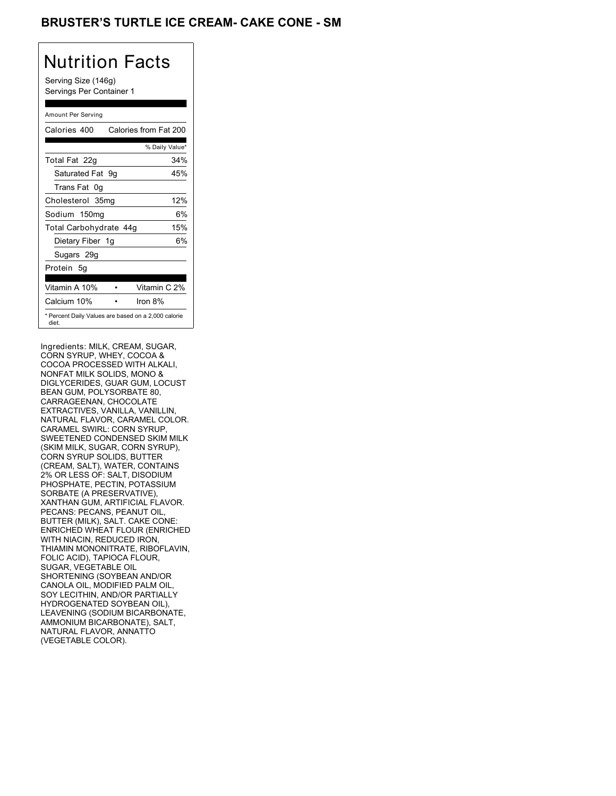## BRUSTER'S TURTLE ICE CREAM- CAKE CONE - SM

# Nutrition Facts

Serving Size (146g) Servings Per Container 1

#### Amount Per Serving

| Calories 400           | Calories from Fat 200                               |
|------------------------|-----------------------------------------------------|
|                        | % Daily Value*                                      |
| Total Fat 22g          | 34%                                                 |
| Saturated Fat 9g       | 45%                                                 |
| Trans Fat 0q           |                                                     |
| Cholesterol 35mg       | 12%                                                 |
| Sodium 150mg           | 6%                                                  |
| Total Carbohydrate 44g | 15%                                                 |
| Dietary Fiber 1g       | 6%                                                  |
| Sugars 29g             |                                                     |
| Protein 5q             |                                                     |
| Vitamin A 10%          | Vitamin C 2%                                        |
| Calcium 10%            | Iron $8\%$                                          |
| diet.                  | * Percent Daily Values are based on a 2,000 calorie |

Ingredients: MILK, CREAM, SUGAR, CORN SYRUP, WHEY, COCOA & COCOA PROCESSED WITH ALKALI, NONFAT MILK SOLIDS, MONO & DIGLYCERIDES, GUAR GUM, LOCUST BEAN GUM, POLYSORBATE 80, CARRAGEENAN, CHOCOLATE EXTRACTIVES, VANILLA, VANILLIN, NATURAL FLAVOR, CARAMEL COLOR. CARAMEL SWIRL: CORN SYRUP, SWEETENED CONDENSED SKIM MILK (SKIM MILK, SUGAR, CORN SYRUP), CORN SYRUP SOLIDS, BUTTER (CREAM, SALT), WATER, CONTAINS 2% OR LESS OF: SALT, DISODIUM PHOSPHATE, PECTIN, POTASSIUM SORBATE (A PRESERVATIVE), XANTHAN GUM, ARTIFICIAL FLAVOR. PECANS: PECANS, PEANUT OIL, BUTTER (MILK), SALT. CAKE CONE: ENRICHED WHEAT FLOUR (ENRICHED WITH NIACIN, REDUCED IRON, THIAMIN MONONITRATE, RIBOFLAVIN, FOLIC ACID), TAPIOCA FLOUR, SUGAR, VEGETABLE OIL SHORTENING (SOYBEAN AND/OR CANOLA OIL, MODIFIED PALM OIL, SOY LECITHIN, AND/OR PARTIALLY HYDROGENATED SOYBEAN OIL), LEAVENING (SODIUM BICARBONATE, AMMONIUM BICARBONATE), SALT, NATURAL FLAVOR, ANNATTO (VEGETABLE COLOR).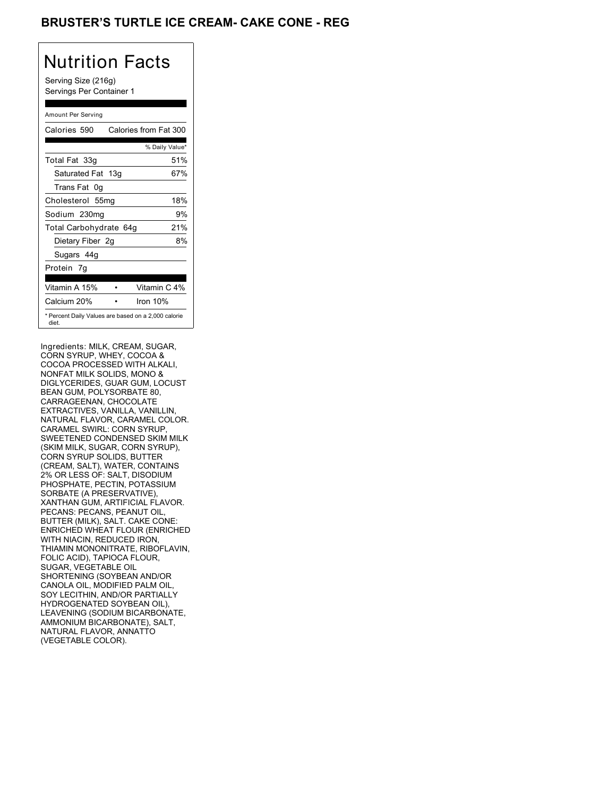## **BRUSTER'S TURTLE ICE CREAM- CAKE CONE - REG**

# Nutrition Facts

Serving Size (216g) Servings Per Container 1

#### Amount Per Serving

| Calories 590                                                 | Calories from Fat 300 |
|--------------------------------------------------------------|-----------------------|
|                                                              | % Daily Value*        |
| Total Fat 33g                                                | 51%                   |
| Saturated Fat 13g                                            | 67%                   |
| Trans Fat 0q                                                 |                       |
| Cholesterol 55mg                                             | 18%                   |
| Sodium 230mg                                                 | 9%                    |
| Total Carbohydrate 64g                                       | 21%                   |
| Dietary Fiber 2g                                             | 8%                    |
| Sugars 44g                                                   |                       |
| Protein 7q                                                   |                       |
| Vitamin A 15%                                                | Vitamin C 4%          |
| Calcium 20%                                                  | Iron $10%$            |
| * Percent Daily Values are based on a 2,000 calorie<br>diet. |                       |

Ingredients: MILK, CREAM, SUGAR, CORN SYRUP, WHEY, COCOA & COCOA PROCESSED WITH ALKALI, NONFAT MILK SOLIDS, MONO & DIGLYCERIDES, GUAR GUM, LOCUST BEAN GUM, POLYSORBATE 80, CARRAGEENAN, CHOCOLATE EXTRACTIVES, VANILLA, VANILLIN, NATURAL FLAVOR, CARAMEL COLOR. CARAMEL SWIRL: CORN SYRUP, SWEETENED CONDENSED SKIM MILK (SKIM MILK, SUGAR, CORN SYRUP), CORN SYRUP SOLIDS, BUTTER (CREAM, SALT), WATER, CONTAINS 2% OR LESS OF: SALT, DISODIUM PHOSPHATE, PECTIN, POTASSIUM SORBATE (A PRESERVATIVE), XANTHAN GUM, ARTIFICIAL FLAVOR. PECANS: PECANS, PEANUT OIL, BUTTER (MILK), SALT. CAKE CONE: ENRICHED WHEAT FLOUR (ENRICHED WITH NIACIN, REDUCED IRON, THIAMIN MONONITRATE, RIBOFLAVIN, FOLIC ACID), TAPIOCA FLOUR, SUGAR, VEGETABLE OIL SHORTENING (SOYBEAN AND/OR CANOLA OIL, MODIFIED PALM OIL, SOY LECITHIN, AND/OR PARTIALLY HYDROGENATED SOYBEAN OIL), LEAVENING (SODIUM BICARBONATE, AMMONIUM BICARBONATE), SALT, NATURAL FLAVOR, ANNATTO (VEGETABLE COLOR).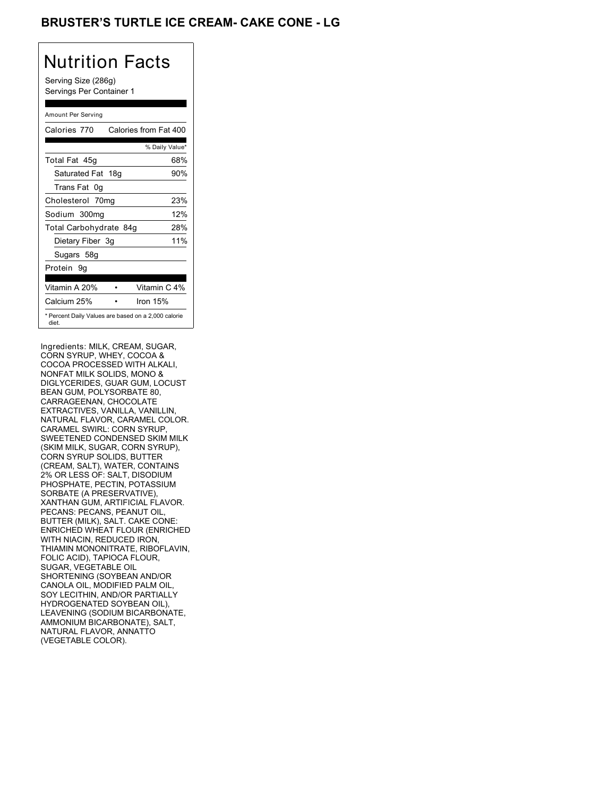## **BRUSTER'S TURTLE ICE CREAM- CAKE CONE - LG**

# Nutrition Facts

Serving Size (286g) Servings Per Container 1

#### Amount Per Serving

| Calories 770           | Calories from Fat 400                               |
|------------------------|-----------------------------------------------------|
|                        | % Daily Value*                                      |
| Total Fat 45g          | 68%                                                 |
| Saturated Fat 18g      | 90%                                                 |
| Trans Fat 0q           |                                                     |
| Cholesterol 70mg       | 23%                                                 |
| Sodium 300mg           | 12%                                                 |
| Total Carbohydrate 84g | 28%                                                 |
| Dietary Fiber 3g       | 11%                                                 |
| Sugars 58g             |                                                     |
| Protein 9q             |                                                     |
|                        |                                                     |
| Vitamin A 20%          | Vitamin C 4%                                        |
| Calcium 25%            | Iron $15%$                                          |
| diet.                  | * Percent Daily Values are based on a 2,000 calorie |

Ingredients: MILK, CREAM, SUGAR, CORN SYRUP, WHEY, COCOA & COCOA PROCESSED WITH ALKALI, NONFAT MILK SOLIDS, MONO & DIGLYCERIDES, GUAR GUM, LOCUST BEAN GUM, POLYSORBATE 80, CARRAGEENAN, CHOCOLATE EXTRACTIVES, VANILLA, VANILLIN, NATURAL FLAVOR, CARAMEL COLOR. CARAMEL SWIRL: CORN SYRUP, SWEETENED CONDENSED SKIM MILK (SKIM MILK, SUGAR, CORN SYRUP), CORN SYRUP SOLIDS, BUTTER (CREAM, SALT), WATER, CONTAINS 2% OR LESS OF: SALT, DISODIUM PHOSPHATE, PECTIN, POTASSIUM SORBATE (A PRESERVATIVE), XANTHAN GUM, ARTIFICIAL FLAVOR. PECANS: PECANS, PEANUT OIL, BUTTER (MILK), SALT. CAKE CONE: ENRICHED WHEAT FLOUR (ENRICHED WITH NIACIN, REDUCED IRON, THIAMIN MONONITRATE, RIBOFLAVIN, FOLIC ACID), TAPIOCA FLOUR, SUGAR, VEGETABLE OIL SHORTENING (SOYBEAN AND/OR CANOLA OIL, MODIFIED PALM OIL, SOY LECITHIN, AND/OR PARTIALLY HYDROGENATED SOYBEAN OIL), LEAVENING (SODIUM BICARBONATE, AMMONIUM BICARBONATE), SALT, NATURAL FLAVOR, ANNATTO (VEGETABLE COLOR).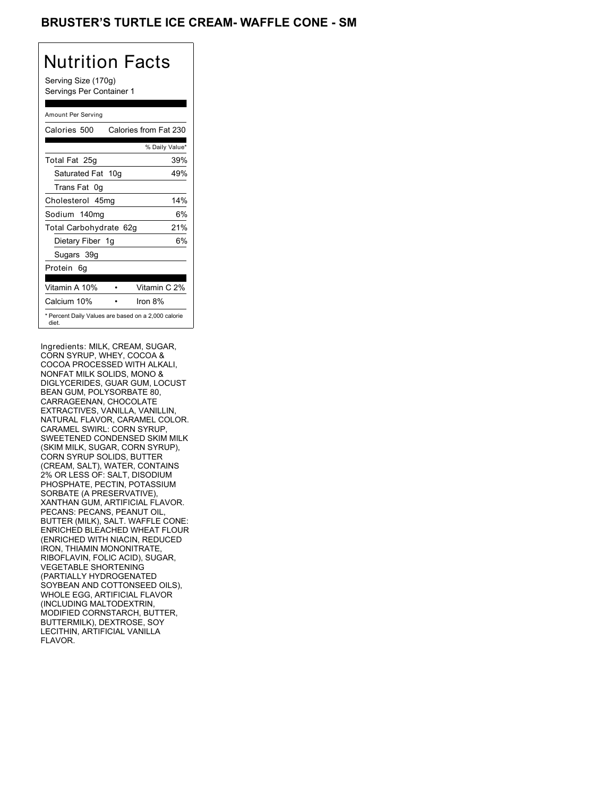## BRUSTER'S TURTLE ICE CREAM- WAFFLE CONE - SM

# Nutrition Facts

Serving Size (170g) Servings Per Container 1

#### Amount Per Serving

| Calories 500           | Calories from Fat 230                               |
|------------------------|-----------------------------------------------------|
|                        | % Daily Value*                                      |
| Total Fat 25g          | 39%                                                 |
| Saturated Fat 10g      | 49%                                                 |
| Trans Fat 0q           |                                                     |
| Cholesterol 45mg       | 14%                                                 |
| Sodium 140mg           | 6%                                                  |
| Total Carbohydrate 62g | 21%                                                 |
| Dietary Fiber 1g       | 6%                                                  |
| Sugars 39g             |                                                     |
| Protein 6q             |                                                     |
| Vitamin A 10%          | Vitamin C 2%                                        |
| Calcium 10%            | Iron $8\%$                                          |
| diet.                  | * Percent Daily Values are based on a 2,000 calorie |

Ingredients: MILK, CREAM, SUGAR, CORN SYRUP, WHEY, COCOA & COCOA PROCESSED WITH ALKALI, NONFAT MILK SOLIDS, MONO & DIGLYCERIDES, GUAR GUM, LOCUST BEAN GUM, POLYSORBATE 80, CARRAGEENAN, CHOCOLATE EXTRACTIVES, VANILLA, VANILLIN, NATURAL FLAVOR, CARAMEL COLOR. CARAMEL SWIRL: CORN SYRUP, SWEETENED CONDENSED SKIM MILK (SKIM MILK, SUGAR, CORN SYRUP), CORN SYRUP SOLIDS, BUTTER (CREAM, SALT), WATER, CONTAINS 2% OR LESS OF: SALT, DISODIUM PHOSPHATE, PECTIN, POTASSIUM SORBATE (A PRESERVATIVE), XANTHAN GUM, ARTIFICIAL FLAVOR. PECANS: PECANS, PEANUT OIL, BUTTER (MILK), SALT. WAFFLE CONE: ENRICHED BLEACHED WHEAT FLOUR (ENRICHED WITH NIACIN, REDUCED IRON, THIAMIN MONONITRATE, RIBOFLAVIN, FOLIC ACID), SUGAR, VEGETABLE SHORTENING (PARTIALLY HYDROGENATED SOYBEAN AND COTTONSEED OILS), WHOLE EGG, ARTIFICIAL FLAVOR (INCLUDING MALTODEXTRIN, MODIFIED CORNSTARCH, BUTTER, BUTTERMILK), DEXTROSE, SOY LECITHIN, ARTIFICIAL VANILLA FLAVOR.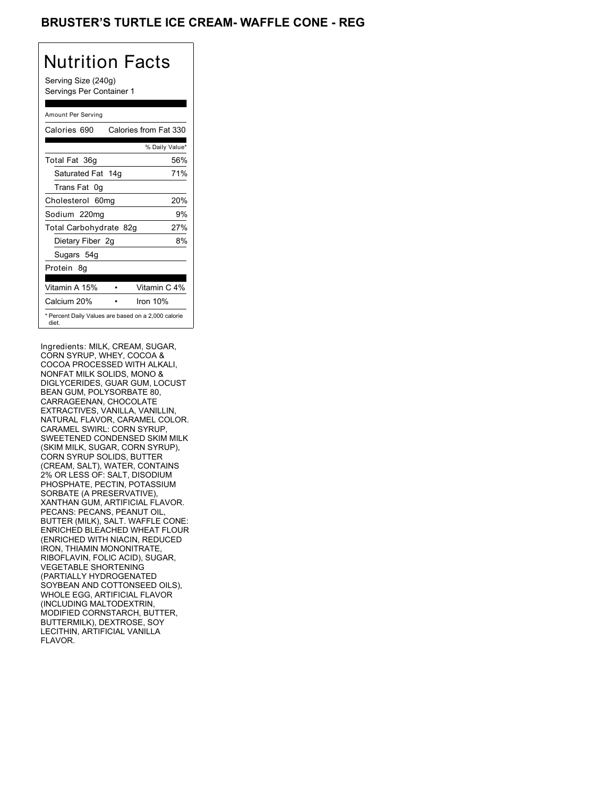### BRUSTER'S TURTLE ICE CREAM- WAFFLE CONE - REG

## Nutrition Facts

Serving Size (240g) Servings Per Container 1

#### Amount Per Serving

| Calories 690                                                 | Calories from Fat 330 |
|--------------------------------------------------------------|-----------------------|
|                                                              | % Daily Value*        |
| Total Fat 36g                                                | 56%                   |
| Saturated Fat 14g                                            | 71%                   |
| Trans Fat 0q                                                 |                       |
| Cholesterol 60mg                                             | 20%                   |
| Sodium 220mg                                                 | 9%                    |
| Total Carbohydrate 82g                                       | 27%                   |
| Dietary Fiber 2g                                             | 8%                    |
| Sugars 54g                                                   |                       |
| Protein 8q                                                   |                       |
| Vitamin A 15%                                                | Vitamin C 4%          |
| Calcium 20%                                                  | Iron $10%$            |
| * Percent Daily Values are based on a 2,000 calorie<br>diet. |                       |

Ingredients: MILK, CREAM, SUGAR, CORN SYRUP, WHEY, COCOA & COCOA PROCESSED WITH ALKALI, NONFAT MILK SOLIDS, MONO & DIGLYCERIDES, GUAR GUM, LOCUST BEAN GUM, POLYSORBATE 80, CARRAGEENAN, CHOCOLATE EXTRACTIVES, VANILLA, VANILLIN, NATURAL FLAVOR, CARAMEL COLOR. CARAMEL SWIRL: CORN SYRUP, SWEETENED CONDENSED SKIM MILK (SKIM MILK, SUGAR, CORN SYRUP), CORN SYRUP SOLIDS, BUTTER (CREAM, SALT), WATER, CONTAINS 2% OR LESS OF: SALT, DISODIUM PHOSPHATE, PECTIN, POTASSIUM SORBATE (A PRESERVATIVE), XANTHAN GUM, ARTIFICIAL FLAVOR. PECANS: PECANS, PEANUT OIL, BUTTER (MILK), SALT. WAFFLE CONE: ENRICHED BLEACHED WHEAT FLOUR (ENRICHED WITH NIACIN, REDUCED IRON, THIAMIN MONONITRATE, RIBOFLAVIN, FOLIC ACID), SUGAR, VEGETABLE SHORTENING (PARTIALLY HYDROGENATED SOYBEAN AND COTTONSEED OILS), WHOLE EGG, ARTIFICIAL FLAVOR (INCLUDING MALTODEXTRIN, MODIFIED CORNSTARCH, BUTTER, BUTTERMILK), DEXTROSE, SOY LECITHIN, ARTIFICIAL VANILLA FLAVOR.